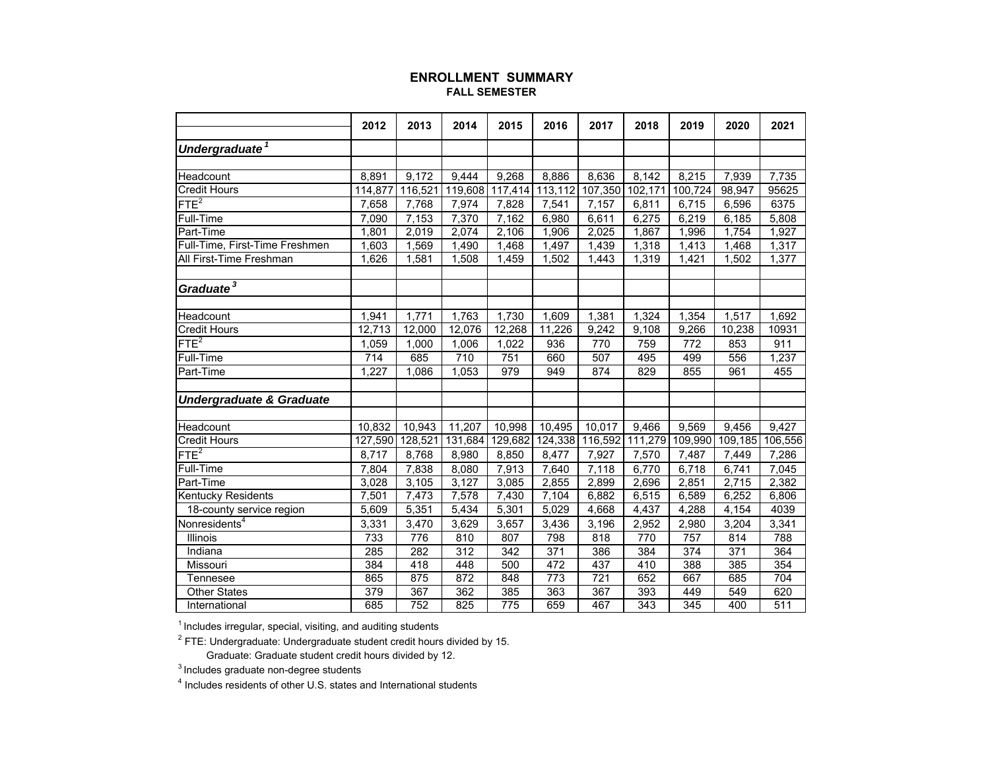## **ENROLLMENT SUMMARYFALL SEMESTER**

|                                     | 2012    | 2013    | 2014    | 2015               | 2016    | 2017            | 2018    | 2019    | 2020             | 2021    |
|-------------------------------------|---------|---------|---------|--------------------|---------|-----------------|---------|---------|------------------|---------|
| Undergraduate <sup>1</sup>          |         |         |         |                    |         |                 |         |         |                  |         |
|                                     |         |         |         |                    |         |                 |         |         |                  |         |
| Headcount                           | 8.891   | 9.172   | 9.444   | 9.268              | 8,886   | 8,636           | 8,142   | 8,215   | 7,939            | 7,735   |
| <b>Credit Hours</b>                 | 114,877 | 116,521 | 119,608 | 117,414            | 113,112 | 107,350         | 102,171 | 100,724 | 98,947           | 95625   |
| FTE <sup>2</sup>                    | 7,658   | 7,768   | 7,974   | 7,828              | 7,541   | 7,157           | 6,811   | 6,715   | 6,596            | 6375    |
| Full-Time                           | 7.090   | 7,153   | 7,370   | 7.162              | 6,980   | 6,611           | 6,275   | 6,219   | 6,185            | 5,808   |
| Part-Time                           | 1,801   | 2,019   | 2,074   | $\overline{2,106}$ | 1,906   | 2,025           | 1,867   | 1,996   | 1,754            | 1,927   |
| Full-Time, First-Time Freshmen      | 1,603   | 1,569   | 1,490   | 1,468              | 1,497   | 1,439           | 1,318   | 1,413   | 1,468            | 1,317   |
| All First-Time Freshman             | 1.626   | 1,581   | 1,508   | 1,459              | 1,502   | 1,443           | 1,319   | 1.421   | 1,502            | 1,377   |
|                                     |         |         |         |                    |         |                 |         |         |                  |         |
| Graduate <sup>3</sup>               |         |         |         |                    |         |                 |         |         |                  |         |
|                                     |         |         |         |                    |         |                 |         |         |                  |         |
| Headcount                           | 1,941   | 1,771   | 1,763   | 1,730              | 1,609   | 1,381           | 1,324   | 1,354   | 1,517            | 1,692   |
| <b>Credit Hours</b>                 | 12,713  | 12,000  | 12,076  | 12,268             | 11,226  | 9,242           | 9,108   | 9,266   | 10,238           | 10931   |
| FTE <sup>2</sup>                    | 1,059   | 1,000   | 1,006   | 1,022              | 936     | 770             | 759     | 772     | 853              | 911     |
| <b>Full-Time</b>                    | 714     | 685     | 710     | 751                | 660     | 507             | 495     | 499     | 556              | 1,237   |
| Part-Time                           | 1,227   | 1,086   | 1,053   | 979                | 949     | 874             | 829     | 855     | 961              | 455     |
|                                     |         |         |         |                    |         |                 |         |         |                  |         |
| <b>Undergraduate &amp; Graduate</b> |         |         |         |                    |         |                 |         |         |                  |         |
|                                     |         |         |         |                    |         |                 |         |         |                  |         |
| Headcount                           | 10,832  | 10,943  | 11,207  | 10,998             | 10,495  | 10,017          | 9,466   | 9,569   | 9,456            | 9,427   |
| <b>Credit Hours</b>                 | 127,590 | 128,521 | 131,684 | 129,682            |         | 124,338 116,592 | 111,279 | 109,990 | 109,185          | 106,556 |
| FTE <sup>2</sup>                    | 8.717   | 8,768   | 8,980   | 8,850              | 8,477   | 7,927           | 7,570   | 7,487   | 7,449            | 7,286   |
| <b>Full-Time</b>                    | 7,804   | 7,838   | 8,080   | 7,913              | 7,640   | 7,118           | 6,770   | 6,718   | 6,741            | 7,045   |
| Part-Time                           | 3,028   | 3,105   | 3,127   | 3,085              | 2,855   | 2,899           | 2,696   | 2,851   | 2,715            | 2,382   |
| Kentucky Residents                  | 7,501   | 7,473   | 7,578   | 7,430              | 7,104   | 6,882           | 6,515   | 6,589   | 6,252            | 6,806   |
| 18-county service region            | 5,609   | 5,351   | 5,434   | $\overline{5,301}$ | 5,029   | 4,668           | 4,437   | 4,288   | 4,154            | 4039    |
| Nonresidents <sup>4</sup>           | 3,331   | 3,470   | 3,629   | 3,657              | 3,436   | 3,196           | 2,952   | 2,980   | 3,204            | 3,341   |
| Illinois                            | 733     | 776     | 810     | 807                | 798     | 818             | 770     | 757     | 814              | 788     |
| Indiana                             | 285     | 282     | 312     | 342                | 371     | 386             | 384     | 374     | $\overline{371}$ | 364     |
| Missouri                            | 384     | 418     | 448     | 500                | 472     | 437             | 410     | 388     | 385              | 354     |
| Tennesee                            | 865     | 875     | 872     | 848                | 773     | 721             | 652     | 667     | 685              | 704     |
| <b>Other States</b>                 | 379     | 367     | 362     | 385                | 363     | 367             | 393     | 449     | 549              | 620     |
| International                       | 685     | 752     | 825     | 775                | 659     | 467             | 343     | 345     | 400              | 511     |

 $^\text{\tiny{\text{\tiny{1}}} }$  Includes irregular, special, visiting, and auditing students

 $^{\rm 2}$  FTE: Undergraduate: Undergraduate student credit hours divided by 15. Graduate: Graduate student credit hours divided by 12.

 $3$  Includes graduate non-degree students

4 Includes residents of other U.S. states and International students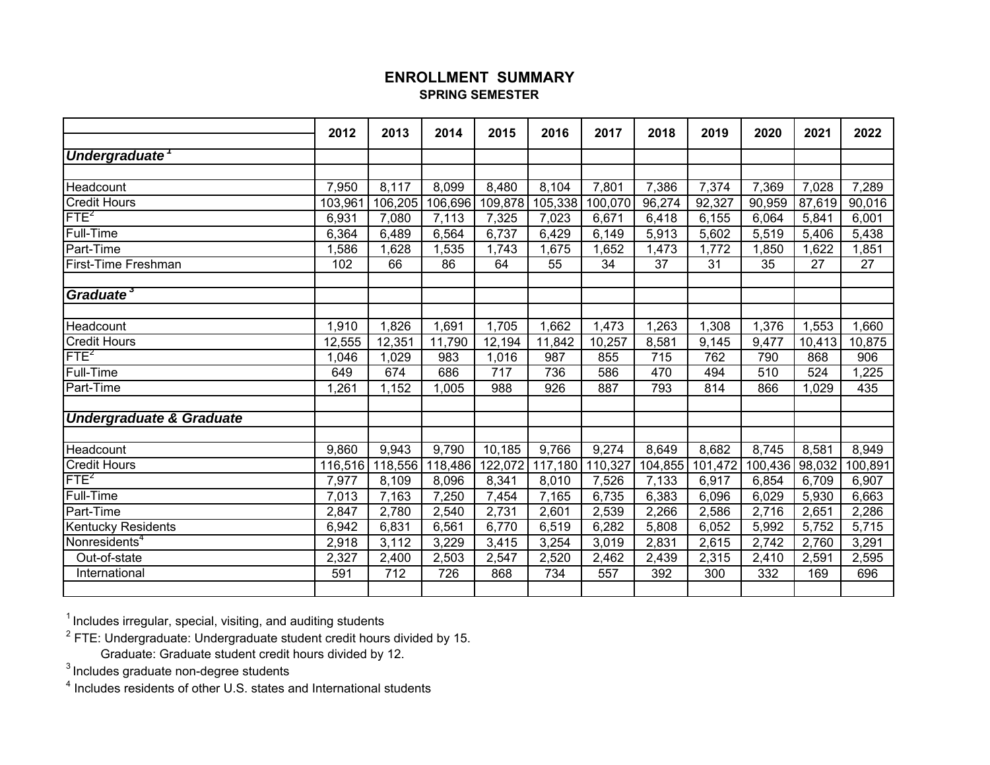# **ENROLLMENT SUMMARYSPRING SEMESTER**

|                                                 | 2012    | 2013    | 2014    | 2015             | 2016    | 2017    | 2018    | 2019    | 2020             | 2021   | 2022    |
|-------------------------------------------------|---------|---------|---------|------------------|---------|---------|---------|---------|------------------|--------|---------|
| Undergraduate                                   |         |         |         |                  |         |         |         |         |                  |        |         |
|                                                 |         |         |         |                  |         |         |         |         |                  |        |         |
| Headcount                                       | 7,950   | 8,117   | 8,099   | 8,480            | 8,104   | 7,801   | 7,386   | 7,374   | 7,369            | 7,028  | 7,289   |
| <b>Credit Hours</b>                             | 103,961 | 106,205 | 106,696 | 109,878          | 105,338 | 100,070 | 96,274  | 92,327  | 90,959           | 87,619 | 90,016  |
| FTE <sup>2</sup>                                | 6,931   | 7,080   | 7,113   | 7,325            | 7,023   | 6,671   | 6,418   | 6,155   | 6,064            | 5,841  | 6,001   |
| <b>Full-Time</b>                                | 6,364   | 6,489   | 6,564   | 6,737            | 6,429   | 6,149   | 5,913   | 5,602   | 5,519            | 5,406  | 5,438   |
| Part-Time                                       | 1,586   | 1,628   | 1,535   | 1,743            | 1,675   | 1,652   | 1,473   | 1,772   | 1,850            | 1,622  | 1,851   |
| First-Time Freshman                             | 102     | 66      | 86      | 64               | 55      | 34      | 37      | 31      | 35               | 27     | 27      |
| Graduate <sup>3</sup>                           |         |         |         |                  |         |         |         |         |                  |        |         |
|                                                 |         |         |         |                  |         |         |         |         |                  |        |         |
| Headcount                                       | 1,910   | 1,826   | 1,691   | 1,705            | 1,662   | 1,473   | 1,263   | 1,308   | 1,376            | 1,553  | 1,660   |
| <b>Credit Hours</b>                             | 12,555  | 12,351  | 11,790  | 12,194           | 11,842  | 10,257  | 8,581   | 9,145   | 9,477            | 10,413 | 10,875  |
| FTE <sup>2</sup>                                | 1,046   | 1,029   | 983     | 1,016            | 987     | 855     | 715     | 762     | 790              | 868    | 906     |
| <b>Full-Time</b>                                | 649     | 674     | 686     | $\overline{717}$ | 736     | 586     | 470     | 494     | $\overline{510}$ | 524    | 1,225   |
| Part-Time                                       | 1,261   | 1,152   | 1,005   | 988              | 926     | 887     | 793     | 814     | 866              | 1,029  | 435     |
| <b>Undergraduate &amp; Graduate</b>             |         |         |         |                  |         |         |         |         |                  |        |         |
| Headcount                                       |         |         |         |                  |         |         |         |         |                  |        |         |
| <b>Credit Hours</b>                             | 9,860   | 9,943   | 9,790   | 10,185           | 9,766   | 9,274   | 8,649   | 8,682   | 8,745            | 8,581  | 8,949   |
| FTE <sup>2</sup>                                | 116,516 | 118,556 | 118,486 | 122,072          | 117,180 | 110,327 | 104,855 | 101,472 | 100,436          | 98,032 | 100,891 |
| <b>Full-Time</b>                                | 7,977   | 8,109   | 8,096   | 8,341            | 8,010   | 7,526   | 7,133   | 6,917   | 6,854            | 6,709  | 6,907   |
| Part-Time                                       | 7,013   | 7,163   | 7,250   | 7,454            | 7,165   | 6,735   | 6,383   | 6,096   | 6,029            | 5,930  | 6,663   |
|                                                 | 2,847   | 2,780   | 2,540   | 2,731            | 2,601   | 2,539   | 2,266   | 2,586   | 2,716            | 2,651  | 2,286   |
| Kentucky Residents<br>Nonresidents <sup>4</sup> | 6,942   | 6,831   | 6,561   | 6,770            | 6,519   | 6,282   | 5,808   | 6,052   | 5,992            | 5,752  | 5,715   |
|                                                 | 2,918   | 3,112   | 3,229   | 3,415            | 3,254   | 3,019   | 2,831   | 2,615   | 2,742            | 2,760  | 3,291   |
| Out-of-state                                    | 2,327   | 2,400   | 2,503   | 2,547            | 2,520   | 2,462   | 2,439   | 2,315   | 2,410            | 2,591  | 2,595   |
| International                                   | 591     | 712     | 726     | 868              | 734     | 557     | 392     | 300     | 332              | 169    | 696     |

 $^\text{1}$  Includes irregular, special, visiting, and auditing students

 $^{\rm 2}$  FTE: Undergraduate: Undergraduate student credit hours divided by 15.

Graduate: Graduate student credit hours divided by 12.

 $^3$ Includes graduate non-degree students

 $^{\text{4}}$  Includes residents of other U.S. states and International students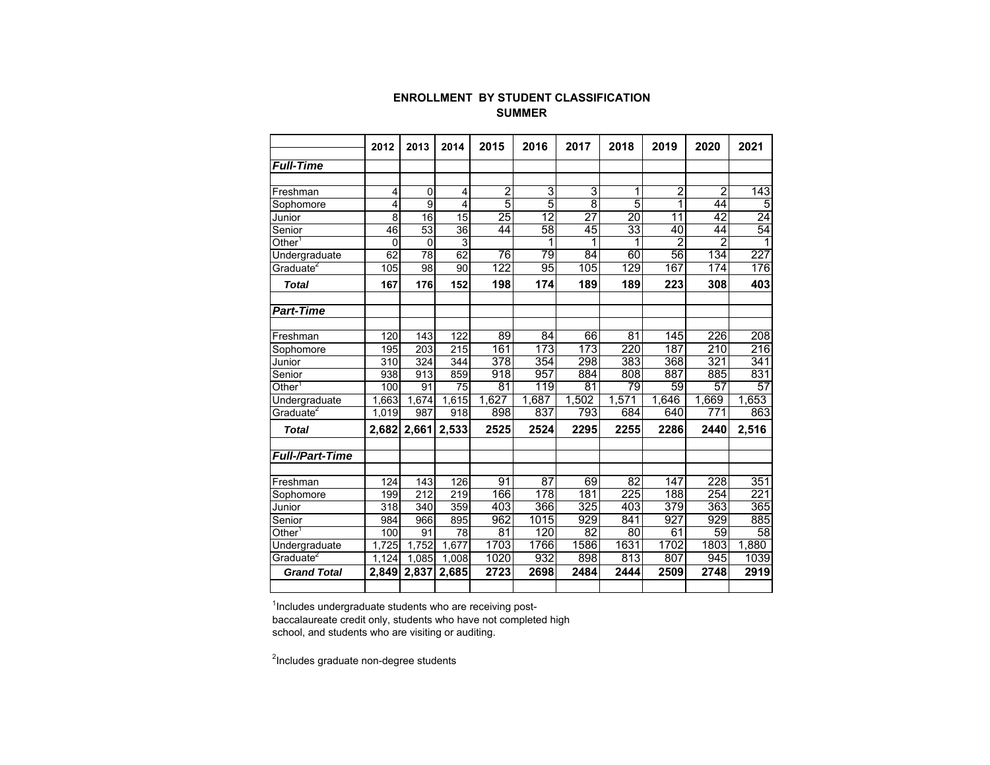#### **ENROLLMENT BY STUDENT CLASSIFICATION SUMMER**

|                        | 2012        | 2013             | 2014           | 2015             | 2016            | 2017            | 2018            | 2019            | 2020            | 2021             |
|------------------------|-------------|------------------|----------------|------------------|-----------------|-----------------|-----------------|-----------------|-----------------|------------------|
| <b>Full-Time</b>       |             |                  |                |                  |                 |                 |                 |                 |                 |                  |
|                        |             |                  |                |                  |                 |                 |                 |                 |                 |                  |
| Freshman               | 4           | $\mathbf 0$      | 4              | $\overline{2}$   | $\overline{3}$  | 3               | $\mathbf{1}$    | 2               | $\overline{2}$  | $\overline{143}$ |
| Sophomore              | 4           | $\overline{9}$   | $\overline{4}$ | 5                | $\overline{5}$  | $\overline{8}$  | 5               | 1               | 44              | 5                |
| Junior                 | 8           | 16               | 15             | 25               | $\overline{12}$ | 27              | $\overline{20}$ | $\overline{11}$ | 42              | 24               |
| Senior                 | 46          | 53               | 36             | 44               | 58              | 45              | 33              | 40              | 44              | 54               |
| Other <sup>1</sup>     | $\mathbf 0$ | $\mathbf 0$      | 3              |                  |                 | 1               | 1               | $\overline{2}$  | 2               |                  |
| Undergraduate          | 62          | 78               | 62             | $\overline{76}$  | $\overline{79}$ | $\overline{84}$ | 60              | $\overline{56}$ | 134             | $\overline{227}$ |
| Graduate <sup>2</sup>  | 105         | 98               | 90             | 122              | 95              | 105             | 129             | 167             | 174             | 176              |
| <b>Total</b>           | 167         | 176              | 152            | 198              | 174             | 189             | 189             | 223             | 308             | 403              |
| <b>Part-Time</b>       |             |                  |                |                  |                 |                 |                 |                 |                 |                  |
| Freshman               | 120         | 143              | 122            | 89               | $\overline{84}$ | 66              | 81              | 145             | 226             | 208              |
| Sophomore              | 195         | 203              | 215            | 161              | 173             | 173             | 220             | 187             | 210             | 216              |
| Junior                 | 310         | 324              | 344            | $\overline{378}$ | 354             | 298             | 383             | 368             | 321             | 341              |
| Senior                 | 938         | 913              | 859            | 918              | 957             | 884             | 808             | 887             | 885             | 831              |
| $\mathsf{Other}^1$     | 100         | 91               | 75             | 81               | 119             | 81              | $\overline{79}$ | 59              | 57              | 57               |
| Undergraduate          | 1.663       | 1.674            | 1.615          | 1,627            | 1,687           | 1,502           | 1,571           | 1,646           | 1,669           | 1,653            |
| Graduate <sup>2</sup>  | 1,019       | 987              | 918            | 898              | 837             | 793             | 684             | 640             | 771             | 863              |
| <b>Total</b>           | 2,682       | 2,661            | 2,533          | 2525             | 2524            | 2295            | 2255            | 2286            | 2440            | 2,516            |
| <b>Full-/Part-Time</b> |             |                  |                |                  |                 |                 |                 |                 |                 |                  |
|                        |             |                  |                |                  |                 |                 |                 |                 |                 |                  |
| Freshman               | 124         | 143              | 126            | 91               | $\overline{87}$ | 69              | $\overline{82}$ | 147             | 228             | 351              |
| Sophomore              | 199         | $\overline{212}$ | 219            | 166              | 178             | 181             | 225             | 188             | 254             | 221              |
| Junior                 | 318         | 340              | 359            | 403              | 366             | 325             | 403             | 379             | 363             | 365              |
| Senior                 | 984         | 966              | 895            | 962              | 1015            | 929             | 841             | 927             | 929             | 885              |
| Other <sup>1</sup>     | 100         | 91               | 78             | 81               | 120             | $\overline{82}$ | 80              | 61              | $\overline{59}$ | $\overline{58}$  |
| Undergraduate          | ,725        | 1,752            | 1,677          | 1703             | 1766            | 1586            | 1631            | 1702            | 1803            | 1,880            |
| Graduate <sup>2</sup>  | 124         | 1.085            | 1.008          | 1020             | 932             | 898             | 813             | 807             | 945             | 1039             |
| <b>Grand Total</b>     | 2.849       | 2,837            | 2,685          | 2723             | 2698            | 2484            | 2444            | 2509            | 2748            | 2919             |

 $^{\mathsf{1}}$ Includes undergraduate students who are receiving post-

baccalaureate credit only, students who have not completed high school, and students who are visiting or auditing.

<sup>2</sup>Includes graduate non-degree students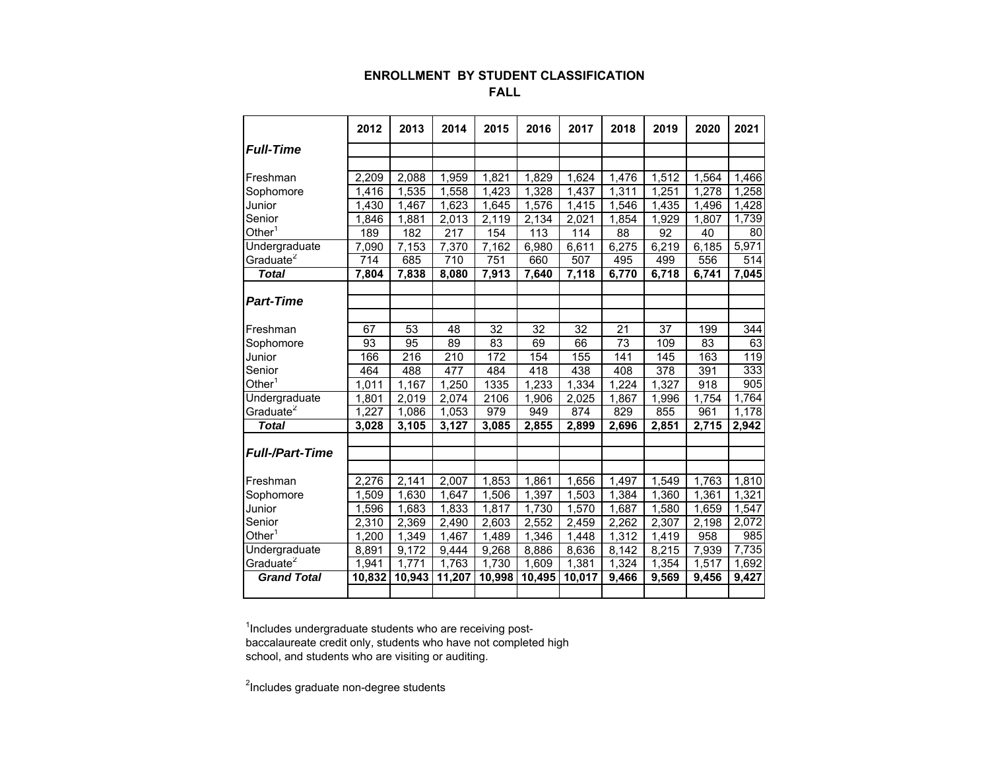## **ENROLLMENT BY STUDENT CLASSIFICATION FALL**

|                        | 2012               | 2013   | 2014   | 2015   | 2016   | 2017             | 2018  | 2019  | 2020  | 2021  |
|------------------------|--------------------|--------|--------|--------|--------|------------------|-------|-------|-------|-------|
| <b>Full-Time</b>       |                    |        |        |        |        |                  |       |       |       |       |
|                        |                    |        |        |        |        |                  |       |       |       |       |
| Freshman               | 2,209              | 2,088  | 1,959  | 1,821  | 1,829  | 1,624            | 1,476 | 1,512 | 1,564 | 1,466 |
| Sophomore              | 1.416              | 1,535  | 1,558  | 1,423  | 1,328  | 1.437            | 1,311 | 1,251 | 1,278 | 1,258 |
| Junior                 | 1,430              | 1,467  | 1,623  | 1,645  | 1,576  | 1,415            | 1,546 | 1,435 | 1,496 | 1,428 |
| Senior                 | 1,846              | 1,881  | 2,013  | 2,119  | 2,134  | 2,021            | 1,854 | 1,929 | 1,807 | 1,739 |
| Other $^{\rm 1}$       | 189                | 182    | 217    | 154    | 113    | 114              | 88    | 92    | 40    | 80    |
| Undergraduate          | 7,090              | 7,153  | 7,370  | 7,162  | 6,980  | 6,611            | 6,275 | 6,219 | 6,185 | 5,971 |
| Graduate <sup>2</sup>  | 714                | 685    | 710    | 751    | 660    | $\overline{507}$ | 495   | 499   | 556   | 514   |
| <b>Total</b>           | 7,804              | 7,838  | 8,080  | 7,913  | 7,640  | 7,118            | 6,770 | 6,718 | 6,741 | 7,045 |
|                        |                    |        |        |        |        |                  |       |       |       |       |
| <b>Part-Time</b>       |                    |        |        |        |        |                  |       |       |       |       |
|                        |                    |        |        |        |        |                  |       |       |       |       |
| Freshman               | 67                 | 53     | 48     | 32     | 32     | 32               | 21    | 37    | 199   | 344   |
| Sophomore              | 93                 | 95     | 89     | 83     | 69     | 66               | 73    | 109   | 83    | 63    |
| Junior                 | 166                | 216    | 210    | 172    | 154    | 155              | 141   | 145   | 163   | 119   |
| Senior                 | 464                | 488    | 477    | 484    | 418    | 438              | 408   | 378   | 391   | 333   |
| Other <sup>1</sup>     | $\overline{1,011}$ | 1,167  | 1,250  | 1335   | 1,233  | 1,334            | 1,224 | 1,327 | 918   | 905   |
| Undergraduate          | 1,801              | 2,019  | 2,074  | 2106   | 1,906  | 2,025            | 1,867 | 1,996 | 1.754 | 1,764 |
| Graduate <sup>2</sup>  | 1,227              | 1,086  | 1,053  | 979    | 949    | 874              | 829   | 855   | 961   | 1,178 |
| <b>Total</b>           | 3,028              | 3,105  | 3,127  | 3,085  | 2,855  | 2,899            | 2,696 | 2,851 | 2,715 | 2,942 |
|                        |                    |        |        |        |        |                  |       |       |       |       |
| <b>Full-/Part-Time</b> |                    |        |        |        |        |                  |       |       |       |       |
|                        |                    |        |        |        |        |                  |       |       |       |       |
| Freshman               | 2,276              | 2,141  | 2,007  | 1,853  | 1,861  | 1,656            | 1,497 | 1,549 | 1,763 | 1,810 |
| Sophomore              | .509<br>1          | 1,630  | 1,647  | 1,506  | 1,397  | 1,503            | 1,384 | 1,360 | 1,361 | 1,321 |
| Junior                 | 1,596              | 1,683  | 1,833  | 1,817  | 1,730  | 1,570            | 1,687 | 1,580 | 1,659 | 1,547 |
| Senior                 | 2,310              | 2,369  | 2,490  | 2,603  | 2,552  | 2,459            | 2,262 | 2,307 | 2,198 | 2,072 |
| $Other^1$              | 1,200              | 1,349  | 1,467  | 1,489  | 1,346  | 1,448            | 1,312 | 1,419 | 958   | 985   |
| Undergraduate          | 8,891              | 9,172  | 9,444  | 9,268  | 8,886  | 8,636            | 8,142 | 8,215 | 7,939 | 7,735 |
| Graduate <sup>2</sup>  | 1,941              | 1.771  | 1,763  | 1,730  | 1,609  | 1,381            | 1,324 | 1,354 | 1,517 | 1,692 |
| <b>Grand Total</b>     | 10,832             | 10,943 | 11,207 | 10,998 | 10,495 | 10,017           | 9,466 | 9,569 | 9,456 | 9,427 |
|                        |                    |        |        |        |        |                  |       |       |       |       |

 $1$ Includes undergraduate students who are receiving postbaccalaureate credit only, students who have not completed high school, and students who are visiting or auditing.

 $2$ Includes graduate non-degree students